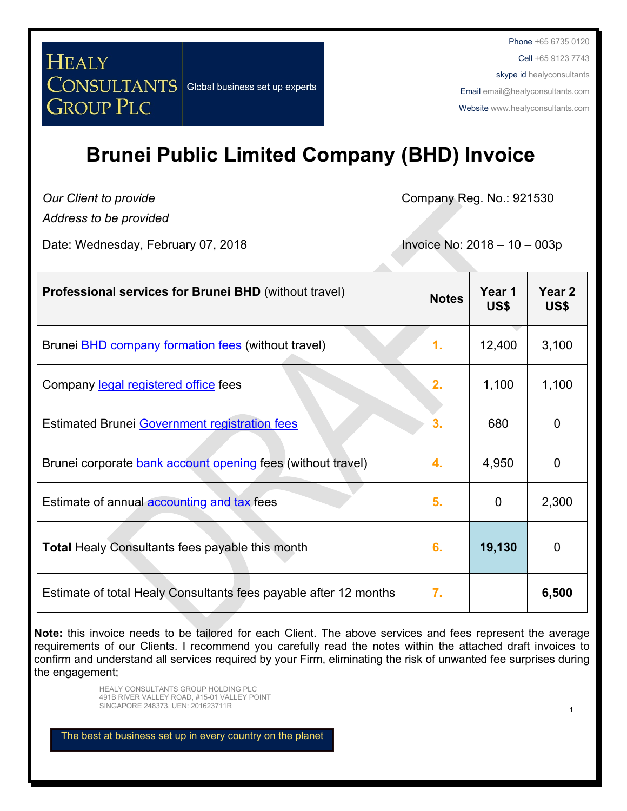Phone +65 6735 0120

Cell +65 9123 7743

skype id healyconsultants Email [email@healyconsultants.com](mailto:EMAIL@healyconsultants.com)

Website [www.healyconsultants.com](http://www.healyconsultants.com/)

# **Brunei Public Limited Company (BHD) Invoice**

*Our Client to provide*

**GROUP PLC** 

**HEALY** 

*Address to be provided*

Date: Wednesday, February 07, 2018 **Invoice No: 2018 – 10 – 003p** 

**CONSULTANTS** Global business set up experts

Company Reg. No.: 921530

| <b>Professional services for Brunei BHD</b> (without travel)     | <b>Notes</b> | Year 1<br>US\$ | Year 2<br>US\$ |
|------------------------------------------------------------------|--------------|----------------|----------------|
| Brunei <b>BHD company formation fees</b> (without travel)        | 1.           | 12,400         | 3,100          |
| Company legal registered office fees                             | 2.           | 1,100          | 1,100          |
| <b>Estimated Brunei Government registration fees</b>             | 3.           | 680            | 0              |
| Brunei corporate bank account opening fees (without travel)      | 4.           | 4,950          | $\overline{0}$ |
| Estimate of annual accounting and tax fees                       | 5.           | $\overline{0}$ | 2,300          |
| <b>Total Healy Consultants fees payable this month</b>           | 6.           | 19,130         | $\overline{0}$ |
| Estimate of total Healy Consultants fees payable after 12 months | 7.           |                | 6,500          |

**Note:** this invoice needs to be tailored for each Client. The above services and fees represent the average requirements of our Clients. I recommend you carefully read the notes within the attached draft invoices to confirm and understand all services required by your Firm, eliminating the risk of unwanted fee surprises during the engagement;

> HEALY CONSULTANTS GROUP HOLDING PLC 491B RIVER VALLEY ROAD, #15-01 VALLEY POINT SINGAPORE 248373, UEN: 201623711R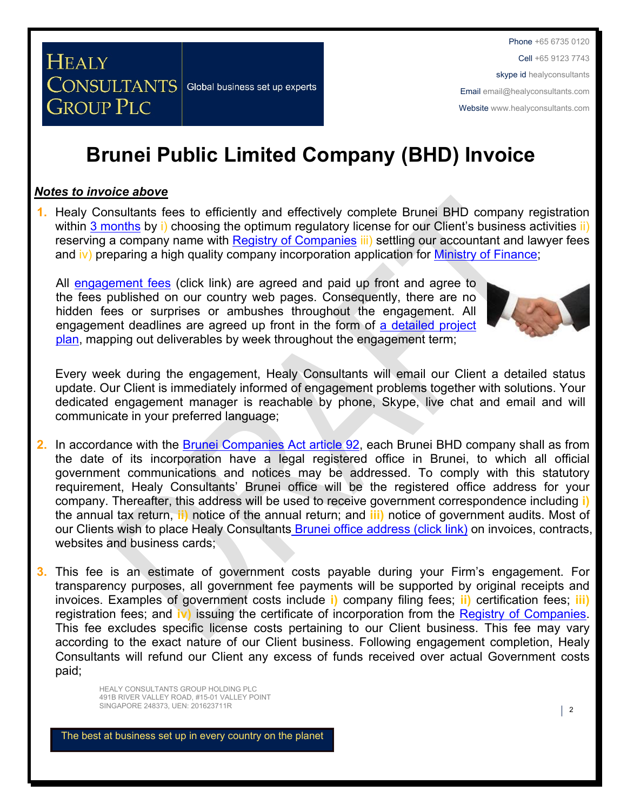Phone +65 6735 0120

Cell +65 9123 7743

## **HEALY CONSULTANTS** Global business set up experts **GROUP PLC**

skype id healyconsultants Email [email@healyconsultants.com](mailto:EMAIL@healyconsultants.com)

Website [www.healyconsultants.com](http://www.healyconsultants.com/)

## **Brunei Public Limited Company (BHD) Invoice**

#### *Notes to invoice above*

**1.** Healy Consultants fees to efficiently and effectively complete Brunei BHD company registration within [3](http://www.healyconsultants.com/brunei-company-registration/fees-timelines/#timelines) [months](http://www.healyconsultants.com/brunei-company-registration/fees-timelines/#timelines) by i) choosing the optimum regulatory license for our Client's business activities ii) reserving a company name with [Registry](http://www.mof.gov.bn/index.php/about-us) [of](http://www.mof.gov.bn/index.php/about-us) [Companies](http://www.mof.gov.bn/index.php/about-us) iii) settling our accountant and lawyer fees and iv) preparing a high quality company incorporation application for [Ministry](http://www.mof.gov.bn/) [of](http://www.mof.gov.bn/) [Finance;](http://www.mof.gov.bn/)

All [engagement](http://www.healyconsultants.com/company-registration-fees/) [fees](http://www.healyconsultants.com/company-registration-fees/) (click link) are agreed and paid up front and agree to the fees published on our country web pages. Consequently, there are no hidden fees or surprises or ambushes throughout the engagement. All engagement deadlines are agreed up front in the form of [a](http://www.healyconsultants.com/index-important-links/example-project-plan/) [detailed](http://www.healyconsultants.com/index-important-links/example-project-plan/) [project](http://www.healyconsultants.com/index-important-links/example-project-plan/) [plan](http://www.healyconsultants.com/index-important-links/example-project-plan/), mapping out deliverables by week throughout the engagement term;



Every week during the engagement, Healy Consultants will email our Client a detailed status update. Our Client is immediately informed of engagement problems together with solutions. Your dedicated engagement manager is reachable by phone, Skype, live chat and email and will communicate in your preferred language;

- **2.** In accordance with the [Brunei](http://www.agc.gov.bn/AGC%20Images/LOB/PDF%20(EN)/Cap039.pdf) [Companies](http://www.agc.gov.bn/AGC%20Images/LOB/PDF%20(EN)/Cap039.pdf) [Act](http://www.agc.gov.bn/AGC%20Images/LOB/PDF%20(EN)/Cap039.pdf) [article](http://www.agc.gov.bn/AGC%20Images/LOB/PDF%20(EN)/Cap039.pdf) [92](http://www.agc.gov.bn/AGC%20Images/LOB/PDF%20(EN)/Cap039.pdf), each Brunei BHD company shall as from the date of its incorporation have a legal registered office in Brunei, to which all official government communications and notices may be addressed. To comply with this statutory requirement, Healy Consultants' Brunei office will be the registered office address for your company. Thereafter, this address will be used to receive government correspondence including **i)** the annual tax return, **ii)** notice of the annual return; and **iii)** notice of government audits. Most of our Clients wish to place Healy Consultants [Brunei](http://www.healyconsultants.com/virtual-office/) [office](http://www.healyconsultants.com/virtual-office/) [address](http://www.healyconsultants.com/virtual-office/) [\(click](http://www.healyconsultants.com/virtual-office/) [link\)](http://www.healyconsultants.com/virtual-office/) on invoices, contracts, websites and business cards;
- **3.** This fee is an estimate of government costs payable during your Firm's engagement. For transparency purposes, all government fee payments will be supported by original receipts and invoices. Examples of government costs include **i)** company filing fees; **ii)** certification fees; **iii)** registration fees; and **iv)** issuing the certificate of incorporation from the [Registry](http://www.mof.gov.bn/index.php/about-us) [of](http://www.mof.gov.bn/index.php/about-us) [Companies.](http://www.mof.gov.bn/index.php/about-us) This fee excludes specific license costs pertaining to our Client business. This fee may vary according to the exact nature of our Client business. Following engagement completion, Healy Consultants will refund our Client any excess of funds received over actual Government costs paid;

HEALY CONSULTANTS GROUP HOLDING PLC 491B RIVER VALLEY ROAD, #15-01 VALLEY POINT SINGAPORE 248373, UEN: 201623711R

2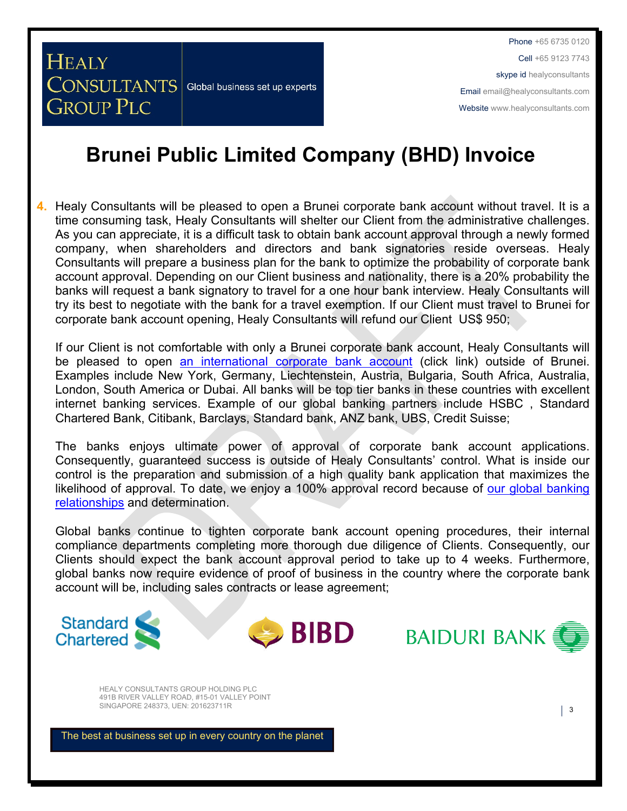**Brunei Public Limited Company (BHD) Invoice** 

**4.** Healy Consultants will be pleased to open a Brunei corporate bank account without travel. It is a time consuming task, Healy Consultants will shelter our Client from the administrative challenges. As you can appreciate, it is a difficult task to obtain bank account approval through a newly formed company, when shareholders and directors and bank signatories reside overseas. Healy Consultants will prepare a business plan for the bank to optimize the probability of corporate bank account approval. Depending on our Client business and nationality, there is a 20% probability the banks will request a bank signatory to travel for a one hour bank interview. Healy Consultants will try its best to negotiate with the bank for a travel exemption. If our Client must travel to Brunei for corporate bank account opening, Healy Consultants will refund our Client US\$ 950;

If our Client is not comfortable with only a Brunei corporate bank account, Healy Consultants will be pleased to open [an](http://www.healyconsultants.com/international-banking/) [international](http://www.healyconsultants.com/international-banking/) [corporate](http://www.healyconsultants.com/international-banking/) [bank](http://www.healyconsultants.com/international-banking/) [account](http://www.healyconsultants.com/international-banking/) (click link) outside of Brunei. Examples include New York, Germany, Liechtenstein, Austria, Bulgaria, South Africa, Australia, London, South America or Dubai. All banks will be top tier banks in these countries with excellent internet banking services. Example of our global banking partners include HSBC , Standard Chartered Bank, Citibank, Barclays, Standard bank, ANZ bank, UBS, Credit Suisse;

The banks enjoys ultimate power of approval of corporate bank account applications. Consequently, guaranteed success is outside of Healy Consultants' control. What is inside our control is the preparation and submission of a high quality bank application that maximizes the likelihood of approval. To date, we enjoy a 100% approval record because of [our](http://www.healyconsultants.com/international-banking/corporate-accounts/) [global](http://www.healyconsultants.com/international-banking/corporate-accounts/) [banking](http://www.healyconsultants.com/international-banking/corporate-accounts/) [relationships](http://www.healyconsultants.com/international-banking/corporate-accounts/) and determination.

Global banks continue to tighten corporate bank account opening procedures, their internal compliance departments completing more thorough due diligence of Clients. Consequently, our Clients should expect the bank account approval period to take up to 4 weeks. Furthermore, global banks now require evidence of proof of business in the country where the corporate bank account will be, including sales contracts or lease agreement;





HEALY CONSULTANTS GROUP HOLDING PLC 491B RIVER VALLEY ROAD, #15-01 VALLEY POINT SINGAPORE 248373, UEN: 201623711R

**HEALY** 

**GROUP PLC** 

**CONSULTANTS** Global business set up experts

The best at business set up in every country on the planet

 $\vert$  3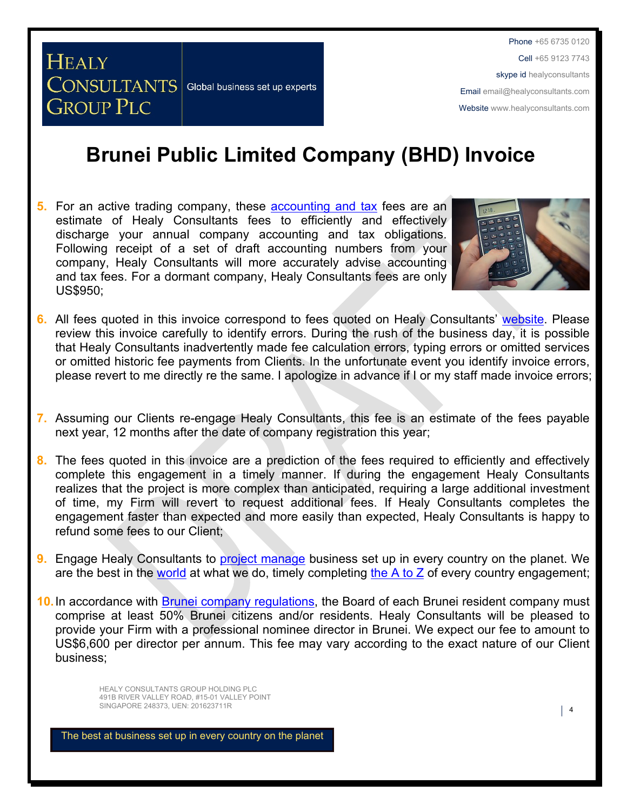### **Brunei Public Limited Company (BHD) Invoice**

**5.** For an active trading company, these [accounting](http://www.healyconsultants.com/brunei-company-registration/accounting-legal/) [and](http://www.healyconsultants.com/brunei-company-registration/accounting-legal/) [tax](http://www.healyconsultants.com/brunei-company-registration/accounting-legal/) fees are an estimate of Healy Consultants fees to efficiently and effectively discharge your annual company accounting and tax obligations. Following receipt of a set of draft accounting numbers from your company, Healy Consultants will more accurately advise accounting and tax fees. For a dormant company, Healy Consultants fees are only US\$950;

**CONSULTANTS** Global business set up experts

**HEALY** 

**GROUP PLC** 



- **6.** All fees quoted in this invoice correspond to fees quoted on Healy Consultants' [website](http://www.healyconsultants.com/company-registration-fees/). Please review this invoice carefully to identify errors. During the rush of the business day, it is possible that Healy Consultants inadvertently made fee calculation errors, typing errors or omitted services or omitted historic fee payments from Clients. In the unfortunate event you identify invoice errors, please revert to me directly re the same. I apologize in advance if I or my staff made invoice errors;
- **7.** Assuming our Clients re-engage Healy Consultants, this fee is an estimate of the fees payable next year, 12 months after the date of company registration this year;
- **8.** The fees quoted in this invoice are a prediction of the fees required to efficiently and effectively complete this engagement in a timely manner. If during the engagement Healy Consultants realizes that the project is more complex than anticipated, requiring a large additional investment of time, my Firm will revert to request additional fees. If Healy Consultants completes the engagement faster than expected and more easily than expected, Healy Consultants is happy to refund some fees to our Client;
- **9.** Engage Healy Consultants to [project](http://www.healyconsultants.com/project-manage-engagements/) [manage](http://www.healyconsultants.com/project-manage-engagements/) business set up in every country on the planet. We are the best in the [world](http://www.healyconsultants.com/best-in-the-world/) at what we do, timely completing [the](http://www.healyconsultants.com/a-to-z-of-business-set-up/)  $A$  [to](http://www.healyconsultants.com/a-to-z-of-business-set-up/)  $Z$  of every country engagement;
- **10.**In accordance with [Brunei](http://www.bedb.com.bn/doing_guides_business_private.html) [company](http://www.bedb.com.bn/doing_guides_business_private.html) [regulations](http://www.bedb.com.bn/doing_guides_business_private.html), the Board of each Brunei resident company must comprise at least 50% Brunei citizens and/or residents. Healy Consultants will be pleased to provide your Firm with a professional nominee director in Brunei. We expect our fee to amount to US\$6,600 per director per annum. This fee may vary according to the exact nature of our Client business;

HEALY CONSULTANTS GROUP HOLDING PLC 491B RIVER VALLEY ROAD, #15-01 VALLEY POINT SINGAPORE 248373, UEN: 201623711R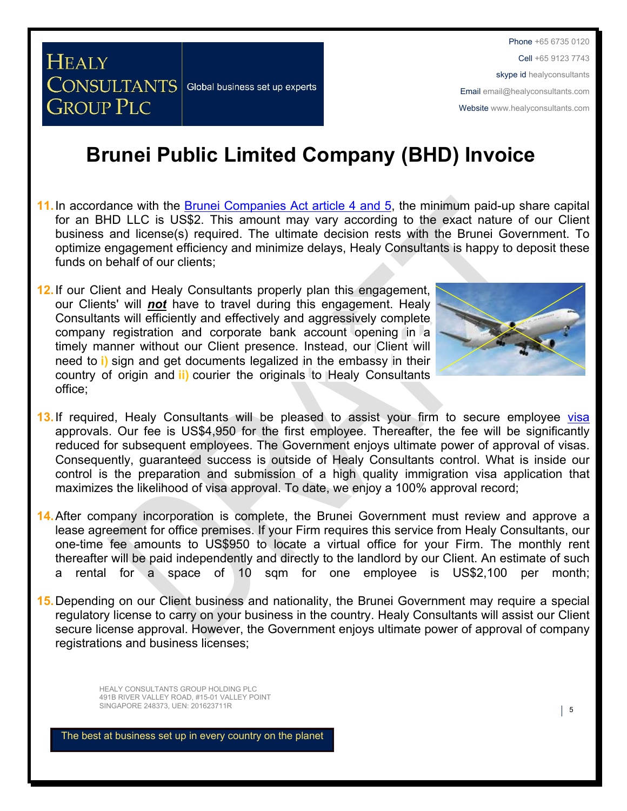### **Brunei Public Limited Company (BHD) Invoice**

- **11.**In accordance with the [Brunei](http://www.agc.gov.bn/AGC%20Images/LOB/PDF%20(EN)/Cap039.pdf) [Companies](http://www.agc.gov.bn/AGC%20Images/LOB/PDF%20(EN)/Cap039.pdf) [Act](http://www.agc.gov.bn/AGC%20Images/LOB/PDF%20(EN)/Cap039.pdf) [article](http://www.agc.gov.bn/AGC%20Images/LOB/PDF%20(EN)/Cap039.pdf) [4](http://www.agc.gov.bn/AGC%20Images/LOB/PDF%20(EN)/Cap039.pdf) [and](http://www.agc.gov.bn/AGC%20Images/LOB/PDF%20(EN)/Cap039.pdf) [5](http://www.agc.gov.bn/AGC%20Images/LOB/PDF%20(EN)/Cap039.pdf), the minimum paid-up share capital for an BHD LLC is US\$2. This amount may vary according to the exact nature of our Client business and license(s) required. The ultimate decision rests with the Brunei Government. To optimize engagement efficiency and minimize delays, Healy Consultants is happy to deposit these funds on behalf of our clients;
- **12.**If our Client and Healy Consultants properly plan this engagement, our Clients' will *not* have to travel during this engagement. Healy Consultants will efficiently and effectively and aggressively complete company registration and corporate bank account opening in a timely manner without our Client presence. Instead, our Client will need to **i)** sign and get documents legalized in the embassy in their country of origin and **ii)** courier the originals to Healy Consultants office;

**CONSULTANTS** Global business set up experts

**HEALY** 

**GROUP PLC** 



- 13. If required, Healy Consultants will be pleased to assist your firm to secure employee [visa](http://www.healyconsultants.com/brunei-company-registration/formation-support-services/) approvals. Our fee is US\$4,950 for the first employee. Thereafter, the fee will be significantly reduced for subsequent employees. The Government enjoys ultimate power of approval of visas. Consequently, guaranteed success is outside of Healy Consultants control. What is inside our control is the preparation and submission of a high quality immigration visa application that maximizes the likelihood of visa approval. To date, we enjoy a 100% approval record;
- **14.**After company incorporation is complete, the Brunei Government must review and approve a lease agreement for office premises. If your Firm requires this service from Healy Consultants, our one-time fee amounts to US\$950 to locate a virtual office for your Firm. The monthly rent thereafter will be paid independently and directly to the landlord by our Client. An estimate of such a rental for a space of 10 sqm for one employee is US\$2,100 per month;
- **15.**Depending on our Client business and nationality, the Brunei Government may require a special regulatory license to carry on your business in the country. Healy Consultants will assist our Client secure license approval. However, the Government enjoys ultimate power of approval of company registrations and business licenses;

HEALY CONSULTANTS GROUP HOLDING PLC 491B RIVER VALLEY ROAD, #15-01 VALLEY POINT SINGAPORE 248373, UEN: 201623711R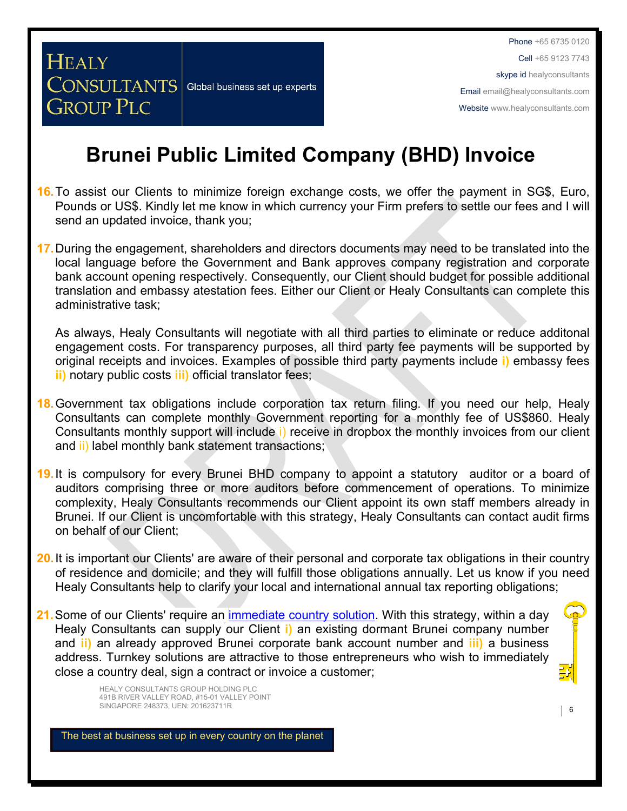## **Brunei Public Limited Company (BHD) Invoice**

- **16.**To assist our Clients to minimize foreign exchange costs, we offer the payment in SG\$, Euro, Pounds or US\$. Kindly let me know in which currency your Firm prefers to settle our fees and I will send an updated invoice, thank you;
- **17.**During the engagement, shareholders and directors documents may need to be translated into the local language before the Government and Bank approves company registration and corporate bank account opening respectively. Consequently, our Client should budget for possible additional translation and embassy atestation fees. Either our Client or Healy Consultants can complete this administrative task;

As always, Healy Consultants will negotiate with all third parties to eliminate or reduce additonal engagement costs. For transparency purposes, all third party fee payments will be supported by original receipts and invoices. Examples of possible third party payments include **i)** embassy fees **ii)** notary public costs **iii)** official translator fees;

- **18.**Government tax obligations include corporation tax return filing. If you need our help, Healy Consultants can complete monthly Government reporting for a monthly fee of US\$860. Healy Consultants monthly support will include i) receive in dropbox the monthly invoices from our client and ii) label monthly bank statement transactions;
- **19.**It is compulsory for every Brunei BHD company to appoint a statutory auditor or a board of auditors comprising three or more auditors before commencement of operations. To minimize complexity, Healy Consultants recommends our Client appoint its own staff members already in Brunei. If our Client is uncomfortable with this strategy, Healy Consultants can contact audit firms on behalf of our Client;
- **20.**It is important our Clients' are aware of their personal and corporate tax obligations in their country of residence and domicile; and they will fulfill those obligations annually. Let us know if you need Healy Consultants help to clarify your local and international annual tax reporting obligations;
- **21.**Some of our Clients' require an [immediate](http://www.healyconsultants.com/turnkey-solutions/) [country](http://www.healyconsultants.com/turnkey-solutions/) [solution](http://www.healyconsultants.com/turnkey-solutions/). With this strategy, within a day Healy Consultants can supply our Client **i)** an existing dormant Brunei company number and **ii)** an already approved Brunei corporate bank account number and **iii)** a business address. Turnkey solutions are attractive to those entrepreneurs who wish to immediately close a country deal, sign a contract or invoice a customer;

HEALY CONSULTANTS GROUP HOLDING PLC 491B RIVER VALLEY ROAD, #15-01 VALLEY POINT SINGAPORE 248373, UEN: 201623711R

**HEALY** 

**GROUP PLC** 

**CONSULTANTS** Global business set up experts

The best at business set up in every country on the planet

 $\vert 6$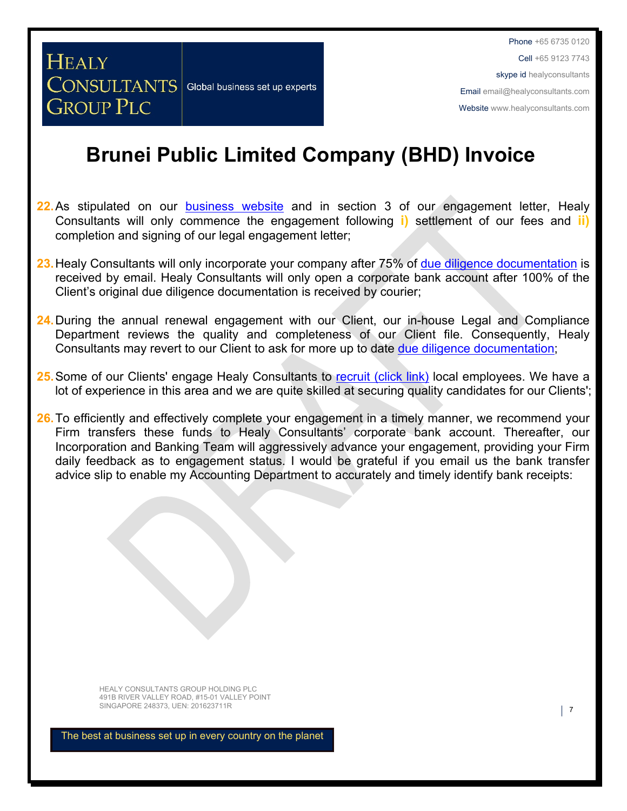Phone +65 6735 0120

Cell +65 9123 7743

**HEALY CONSULTANTS** Global business set up experts **GROUP PLC** 

skype id healyconsultants Email [email@healyconsultants.com](mailto:EMAIL@healyconsultants.com) Website [www.healyconsultants.com](http://www.healyconsultants.com/)

# **Brunei Public Limited Company (BHD) Invoice**

- 22. As stipulated on our **[business](http://www.healyconsultants.com/) [website](http://www.healyconsultants.com/)** and in section 3 of our engagement letter, Healy Consultants will only commence the engagement following **i)** settlement of our fees and **ii)** completion and signing of our legal engagement letter;
- **23.**Healy Consultants will only incorporate your company after 75% of [due](http://www.healyconsultants.com/due-diligence/) [diligence](http://www.healyconsultants.com/due-diligence/) [documentation](http://www.healyconsultants.com/due-diligence/) is received by email. Healy Consultants will only open a corporate bank account after 100% of the Client's original due diligence documentation is received by courier;
- **24.** During the annual renewal engagement with our Client, our in-house Legal and Compliance Department reviews the quality and completeness of our Cli[e](http://www.healyconsultants.com/due-diligence/)nt file. Consequently, Healy Consultants may revert to our Client to ask for more up to date [due](http://www.healyconsultants.com/due-diligence/) [diligence](http://www.healyconsultants.com/due-diligence/) [documentation;](http://www.healyconsultants.com/due-diligence/)
- **25.** Some of our Clients' engage Healy Consultants to [recruit](http://www.healyconsultants.com/corporate-outsourcing-services/how-we-help-our-clients-recruit-quality-employees/) [\(click](http://www.healyconsultants.com/corporate-outsourcing-services/how-we-help-our-clients-recruit-quality-employees/) [link\)](http://www.healyconsultants.com/corporate-outsourcing-services/how-we-help-our-clients-recruit-quality-employees/) local employees. We have a lot of experience in this area and we are quite skilled at securing quality candidates for our Clients';
- 26. To efficiently and effectively complete your engagement in a timely manner, we recommend your Firm transfers these funds to Healy Consultants' corporate bank account. Thereafter, our Incorporation and Banking Team will aggressively advance your engagement, providing your Firm daily feedback as to engagement status. I would be grateful if you email us the bank transfer advice slip to enable my Accounting Department to accurately and timely identify bank receipts:

HEALY CONSULTANTS GROUP HOLDING PLC 491B RIVER VALLEY ROAD, #15-01 VALLEY POINT SINGAPORE 248373, UEN: 201623711R

 $\vert$  7